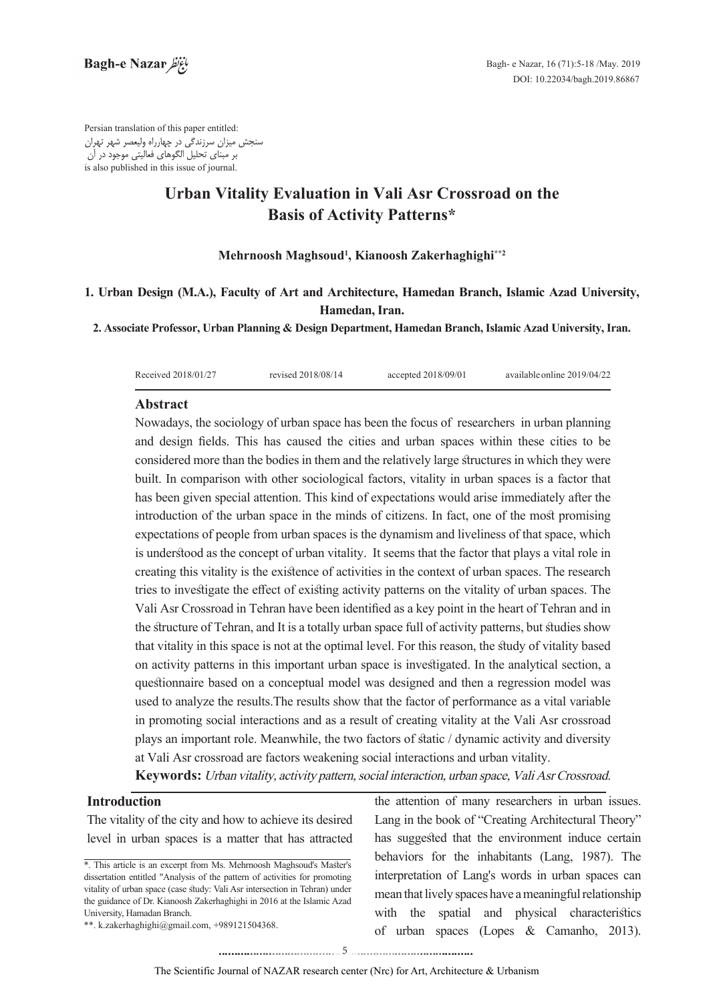Persian translation of this paper entitled: سنجش ميزان سرزندگي در چهارراه وليعصر شهر تهران بر مبناي تحليل الگوهاي فعاليتي موجود در آن is also published in this issue of iournal.

# **Urban Vitality Evaluation in Vali Asr Crossroad on the Basis of Activity Patterns\***

### $\mathbf M$ ehrnoosh Maghsoud<sup>1</sup>, Kianoosh Zakerhaghighi\*\*2

## 1. Urban Design (M.A.), Faculty of Art and Architecture, Hamedan Branch, Islamic Azad University, Hamedan, Iran.

**2. Associate Professor, Urban Planning & Design Department, Hamedan Branch, Islamic Azad University, Iran.** 

| Received 2018/01/27 | revised 2018/08/14 | accepted $2018/09/01$ | available online 2019/04/22 |
|---------------------|--------------------|-----------------------|-----------------------------|
|                     |                    |                       |                             |

### **Abstract**

Nowadays, the sociology of urban space has been the focus of researchers in urban planning and design fields. This has caused the cities and urban spaces within these cities to be considered more than the bodies in them and the relatively large structures in which they were built. In comparison with other sociological factors, vitality in urban spaces is a factor that has been given special attention. This kind of expectations would arise immediately after the introduction of the urban space in the minds of citizens. In fact, one of the most promising expectations of people from urban spaces is the dynamism and liveliness of that space, which is understood as the concept of urban vitality. It seems that the factor that plays a vital role in creating this vitality is the existence of activities in the context of urban spaces. The research tries to investigate the effect of existing activity patterns on the vitality of urban spaces. The Vali Asr Crossroad in Tehran have been identified as a key point in the heart of Tehran and in the structure of Tehran, and It is a totally urban space full of activity patterns, but studies show that vitality in this space is not at the optimal level. For this reason, the study of vitality based on activity patterns in this important urban space is investigated. In the analytical section, a questionnaire based on a conceptual model was designed and then a regression model was used to analyze the results. The results show that the factor of performance as a vital variable. in promoting social interactions and as a result of creating vitality at the Vali Asr crossroad plays an important role. Meanwhile, the two factors of static / dynamic activity and diversity at Vali Asr crossroad are factors weakening social interactions and urban vitality.

Keywords: Urban vitality, activity pattern, social interaction, urban space, Vali Asr Crossroad.

## **Introduction**

The vitality of the city and how to achieve its desired level in urban spaces is a matter that has attracted the attention of many researchers in urban issues. Lang in the book of "Creating Architectural Theory" has suggested that the environment induce certain behaviors for the inhabitants (Lang, 1987). The interpretation of Lang's words in urban spaces can mean that lively spaces have a meaningful relationship with the spatial and physical characteristics of urban spaces (Lopes & Camanho, 2013).

<sup>\*.</sup> This article is an excerpt from Ms. Mehrnoosh Maghsoud's Master's dissertation entitled "Analysis of the pattern of activities for promoting vitality of urban space (case study: Vali Asr intersection in Tehran) under the guidance of Dr. Kianoosh Zakerhaghighi in 2016 at the Islamic Azad University, Hamadan Branch.

<sup>\*\*.</sup> k.zakerhaghighi@gmail.com, +989121504368.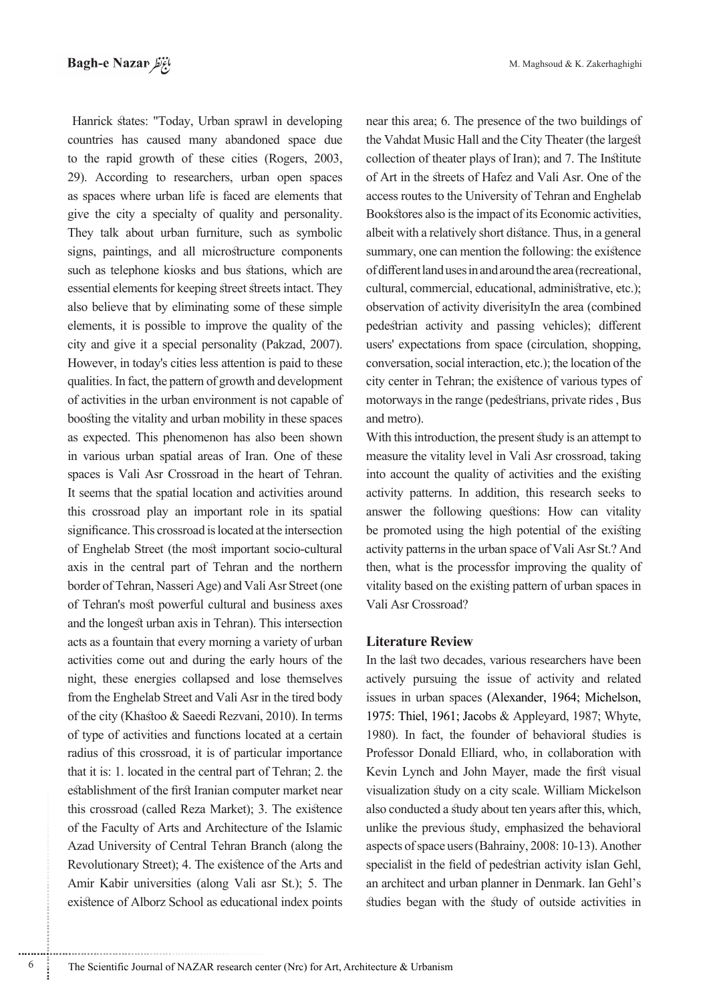Hanrick states: "Today, Urban sprawl in developing countries has caused many abandoned space due to the rapid growth of these cities (Rogers, 2003, 29). According to researchers, urban open spaces as spaces where urban life is faced are elements that give the city a specialty of quality and personality. They talk about urban furniture, such as symbolic signs, paintings, and all microstructure components such as telephone kiosks and bus stations, which are essential elements for keeping street streets intact. They also believe that by eliminating some of these simple elements, it is possible to improve the quality of the city and give it a special personality (Pakzad, 2007). However, in today's cities less attention is paid to these qualities. In fact, the pattern of growth and development of activities in the urban environment is not capable of boosting the vitality and urban mobility in these spaces as expected. This phenomenon has also been shown in various urban spatial areas of Iran. One of these spaces is Vali Asr Crossroad in the heart of Tehran. It seems that the spatial location and activities around this crossroad play an important role in its spatial significance. This crossroad is located at the intersection of Enghelab Street (the most important socio-cultural axis in the central part of Tehran and the northern border of Tehran, Nasseri Age) and Vali Asr Street (one of Tehran's most powerful cultural and business axes and the longest urban axis in Tehran). This intersection acts as a fountain that every morning a variety of urban activities come out and during the early hours of the night, these energies collapsed and lose themselves from the Enghelab Street and Vali Asr in the tired body of the city (Khastoo  $&$  Saeedi Rezvani, 2010). In terms of type of activities and functions located at a certain radius of this crossroad, it is of particular importance that it is: 1. located in the central part of Tehran; 2. the establishment of the first Iranian computer market near this crossroad (called Reza Market); 3. The existence of the Faculty of Arts and Architecture of the Islamic Azad University of Central Tehran Branch (along the Revolutionary Street); 4. The existence of the Arts and Amir Kabir universities (along Vali asr St.); 5. The existence of Alborz School as educational index points near this area; 6. The presence of the two buildings of the Vahdat Music Hall and the City Theater (the largest collection of theater plays of Iran); and 7. The Institute of Art in the streets of Hafez and Vali Asr. One of the access routes to the University of Tehran and Enghelab Bookstores also is the impact of its Economic activities, albeit with a relatively short distance. Thus, in a general summary, one can mention the following: the existence of different land uses in and around the area (recreational, cultural, commercial, educational, administrative, etc.); observation of activity diverisityIn the area (combined pedestrian activity and passing vehicles); different users' expectations from space (circulation, shopping, conversation, social interaction, etc.); the location of the city center in Tehran; the existence of various types of motorways in the range (pedestrians, private rides, Bus and metro).

With this introduction, the present study is an attempt to measure the vitality level in Vali Asr crossroad, taking into account the quality of activities and the existing activity patterns. In addition, this research seeks to answer the following questions: How can vitality be promoted using the high potential of the existing activity patterns in the urban space of Vali Asr St.? And then, what is the processfor improving the quality of vitality based on the existing pattern of urban spaces in Vali Asr Crossroad?

#### **Literature Review**

In the last two decades, various researchers have been actively pursuing the issue of activity and related issues in urban spaces (Alexander, 1964; Michelson, 1975: Thiel, 1961; Jacobs & Appleyard, 1987; Whyte, 1980). In fact, the founder of behavioral studies is Professor Donald Elliard, who, in collaboration with Kevin Lynch and John Mayer, made the first visual visualization study on a city scale. William Mickelson also conducted a study about ten years after this, which, unlike the previous study, emphasized the behavioral aspects of space users (Bahrainy, 2008: 10-13). Another specialist in the field of pedestrian activity isIan Gehl, an architect and urban planner in Denmark. Ian Gehl's studies began with the study of outside activities in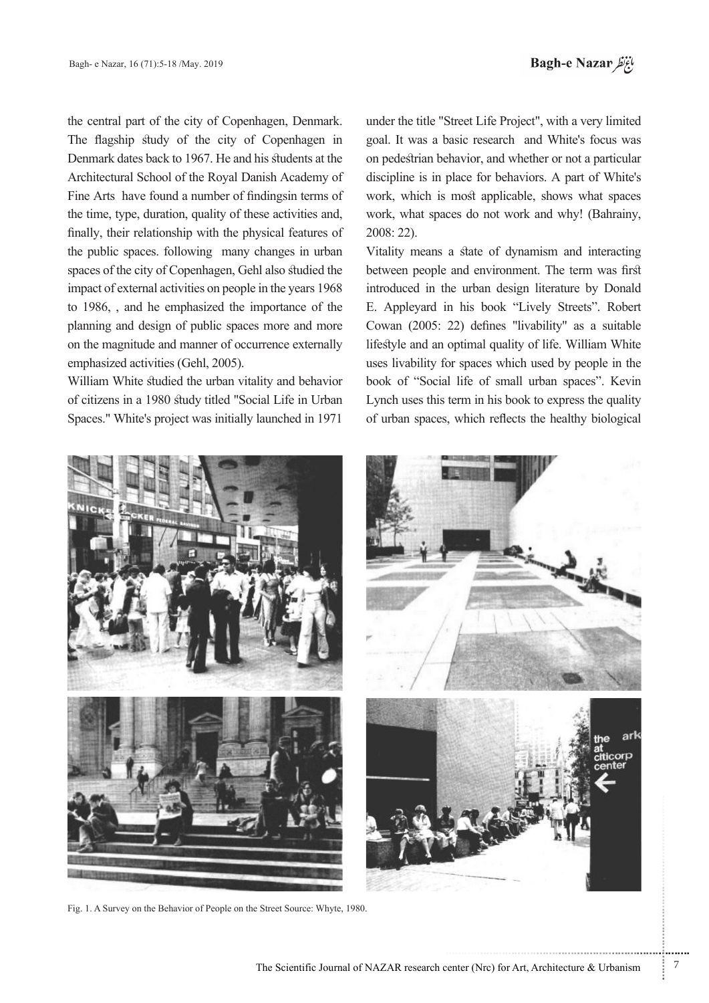the central part of the city of Copenhagen, Denmark. The flagship study of the city of Copenhagen in Denmark dates back to 1967. He and his students at the Architectural School of the Royal Danish Academy of Fine Arts have found a number of findingsin terms of the time, type, duration, quality of these activities and, finally, their relationship with the physical features of the public spaces. following many changes in urban spaces of the city of Copenhagen, Gehl also studied the impact of external activities on people in the years 1968 to 1986, , and he emphasized the importance of the planning and design of public spaces more and more on the magnitude and manner of occurrence externally emphasized activities (Gehl, 2005).

William White studied the urban vitality and behavior of citizens in a 1980 study titled "Social Life in Urban Spaces." White's project was initially launched in 1971

under the title "Street Life Project", with a very limited goal. It was a basic research and White's focus was on pedestrian behavior, and whether or not a particular discipline is in place for behaviors. A part of White's work, which is most applicable, shows what spaces work, what spaces do not work and why! (Bahrainy, 2008: 22).

Vitality means a state of dynamism and interacting between people and environment. The term was first introduced in the urban design literature by Donald E. Appleyard in his book "Lively Streets". Robert Cowan (2005: 22) defines "livability" as a suitable lifestyle and an optimal quality of life. William White uses livability for spaces which used by people in the book of "Social life of small urban spaces". Kevin Lynch uses this term in his book to express the quality of urban spaces, which reflects the healthy biological



Fig. 1. A Survey on the Behavior of People on the Street Source: Whyte, 1980.

...........................................................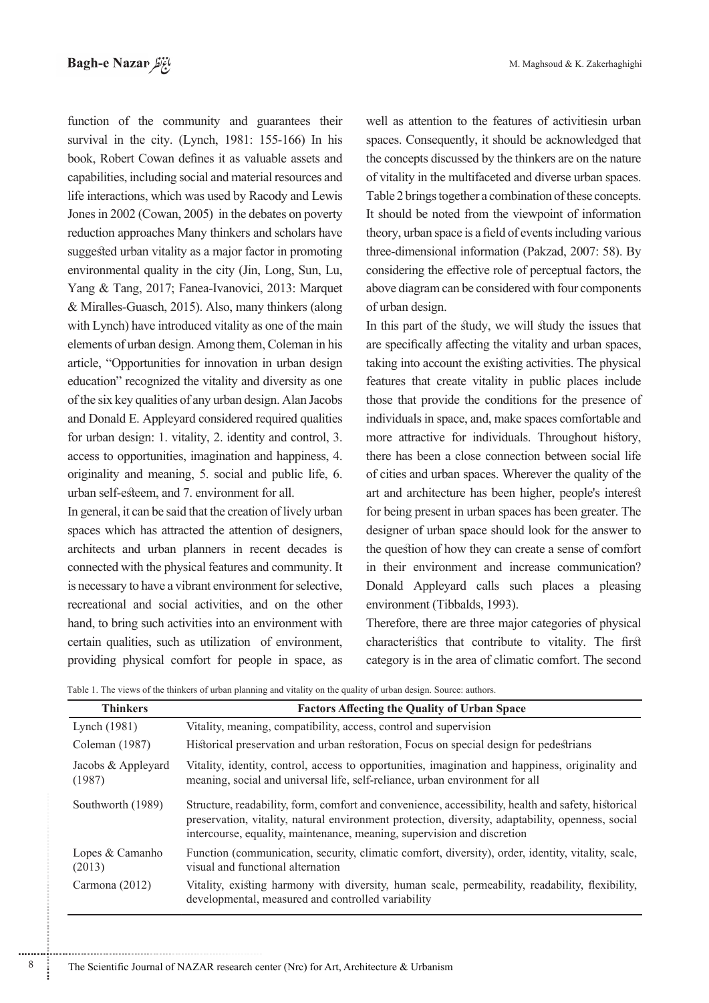function of the community and guarantees their survival in the city. (Lynch,  $1981: 155-166$ ) In his book, Robert Cowan defines it as valuable assets and capabilities, including social and material resources and life interactions, which was used by Racody and Lewis Jones in 2002 (Cowan, 2005) in the debates on poverty reduction approaches Many thinkers and scholars have suggested urban vitality as a major factor in promoting environmental quality in the city (Jin, Long, Sun, Lu, Yang & Tang, 2017; Fanea-Ivanovici, 2013: Marquet  $&$  Miralles-Guasch, 2015). Also, many thinkers (along with Lynch) have introduced vitality as one of the main elements of urban design. Among them, Coleman in his article, "Opportunities for innovation in urban design education" recognized the vitality and diversity as one of the six key qualities of any urban design. Alan Jacobs and Donald E. Appleyard considered required qualities for urban design: 1. vitality, 2. identity and control, 3. access to opportunities, imagination and happiness, 4. originality and meaning, 5. social and public life, 6. urban self-esteem, and 7. environment for all.

In general, it can be said that the creation of lively urban spaces which has attracted the attention of designers, architects and urban planners in recent decades is connected with the physical features and community. It is necessary to have a vibrant environment for selective, recreational and social activities, and on the other hand, to bring such activities into an environment with certain qualities, such as utilization of environment, providing physical comfort for people in space, as well as attention to the features of activities in urban spaces. Consequently, it should be acknowledged that the concepts discussed by the thinkers are on the nature of vitality in the multifaceted and diverse urban spaces. Table 2 brings together a combination of these concepts. It should be noted from the viewpoint of information theory, urban space is a field of events including various three-dimensional information (Pakzad, 2007: 58). By considering the effective role of perceptual factors, the above diagram can be considered with four components of urban design.

In this part of the study, we will study the issues that are specifically affecting the vitality and urban spaces, taking into account the existing activities. The physical features that create vitality in public places include those that provide the conditions for the presence of individuals in space, and, make spaces comfortable and more attractive for individuals. Throughout history, there has been a close connection between social life of cities and urban spaces. Wherever the quality of the art and architecture has been higher, people's interest for being present in urban spaces has been greater. The designer of urban space should look for the answer to the question of how they can create a sense of comfort in their environment and increase communication? Donald Appleyard calls such places a pleasing environment (Tibbalds, 1993).

Therefore, there are three major categories of physical characteristics that contribute to vitality. The first category is in the area of climatic comfort. The second

| Table 1. The views of the thinkers of urban planning and vitality on the quality of urban design. Source: authors. |  |  |  |
|--------------------------------------------------------------------------------------------------------------------|--|--|--|
|--------------------------------------------------------------------------------------------------------------------|--|--|--|

| <b>Thinkers</b>              | <b>Factors Affecting the Quality of Urban Space</b>                                                                                                                                                                                                                                 |
|------------------------------|-------------------------------------------------------------------------------------------------------------------------------------------------------------------------------------------------------------------------------------------------------------------------------------|
| Lynch (1981)                 | Vitality, meaning, compatibility, access, control and supervision                                                                                                                                                                                                                   |
| Coleman (1987)               | Historical preservation and urban restoration, Focus on special design for pedestrians                                                                                                                                                                                              |
| Jacobs & Appleyard<br>(1987) | Vitality, identity, control, access to opportunities, imagination and happiness, originality and<br>meaning, social and universal life, self-reliance, urban environment for all                                                                                                    |
| Southworth (1989)            | Structure, readability, form, comfort and convenience, accessibility, health and safety, historical<br>preservation, vitality, natural environment protection, diversity, adaptability, openness, social<br>intercourse, equality, maintenance, meaning, supervision and discretion |
| Lopes & Camanho<br>(2013)    | Function (communication, security, climatic comfort, diversity), order, identity, vitality, scale,<br>visual and functional alternation                                                                                                                                             |
| Carmona (2012)               | Vitality, existing harmony with diversity, human scale, permeability, readability, flexibility,<br>developmental, measured and controlled variability                                                                                                                               |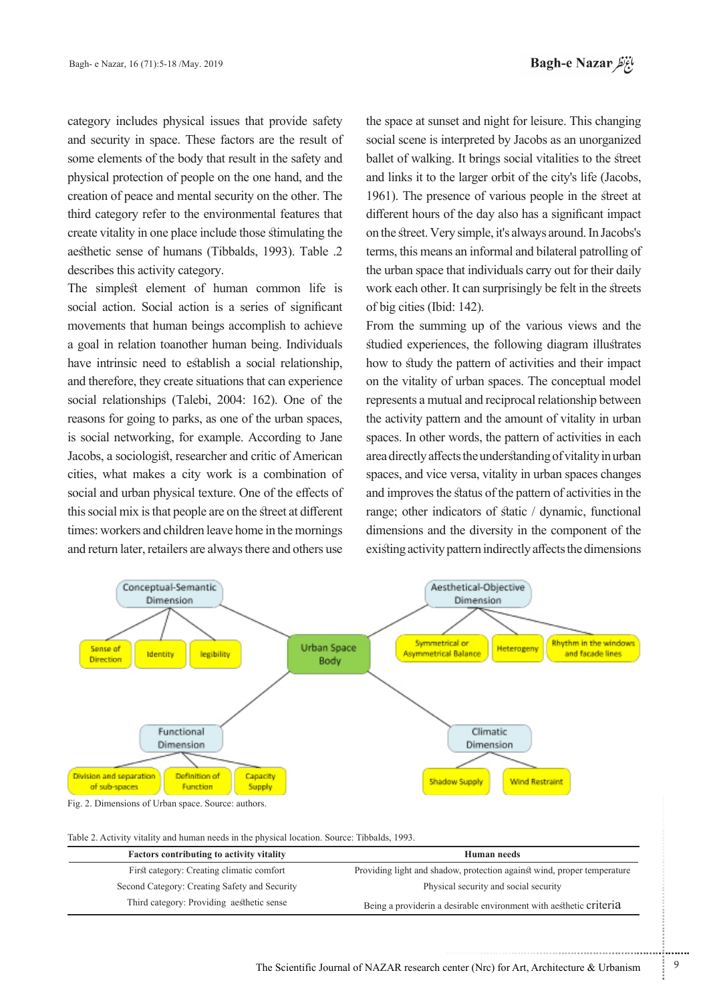category includes physical issues that provide safety and security in space. These factors are the result of some elements of the body that result in the safety and physical protection of people on the one hand, and the creation of peace and mental security on the other. The third category refer to the environmental features that create vitality in one place include those stimulating the aesthetic sense of humans (Tibbalds, 1993). Table .2 describes this activity category.

The simplest element of human common life is social action. Social action is a series of significant movements that human beings accomplish to achieve a goal in relation toanother human being. Individuals have intrinsic need to establish a social relationship, and therefore, they create situations that can experience social relationships (Talebi, 2004: 162). One of the reasons for going to parks, as one of the urban spaces, is social networking, for example. According to Jane Jacobs, a sociologist, researcher and critic of American cities, what makes a city work is a combination of social and urban physical texture. One of the effects of this social mix is that people are on the street at different times: workers and children leave home in the mornings and return later, retailers are always there and others use

the space at sunset and night for leisure. This changing social scene is interpreted by Jacobs as an unorganized ballet of walking. It brings social vitalities to the street and links it to the larger orbit of the city's life (Jacobs, 1961). The presence of various people in the street at different hours of the day also has a significant impact on the street. Very simple, it's always around. In Jacobs's terms, this means an informal and bilateral patrolling of the urban space that individuals carry out for their daily work each other. It can surprisingly be felt in the streets of big cities (Ibid: 142).

From the summing up of the various views and the studied experiences, the following diagram illustrates how to study the pattern of activities and their impact on the vitality of urban spaces. The conceptual model represents a mutual and reciprocal relationship between the activity pattern and the amount of vitality in urban spaces. In other words, the pattern of activities in each area directly affects the understanding of vitality in urban spaces, and vice versa, vitality in urban spaces changes and improves the status of the pattern of activities in the range; other indicators of static  $/$  dynamic, functional dimensions and the diversity in the component of the existing activity pattern indirectly affects the dimensions



| <b>Factors contributing to activity vitality</b> | <b>Human</b> needs                                                      |
|--------------------------------------------------|-------------------------------------------------------------------------|
| First category: Creating climatic comfort        | Providing light and shadow, protection against wind, proper temperature |
| Second Category: Creating Safety and Security    | Physical security and social security                                   |
| Third category: Providing aesthetic sense        | Being a provider in a desirable environment with a esthetic criteria    |

...........................................................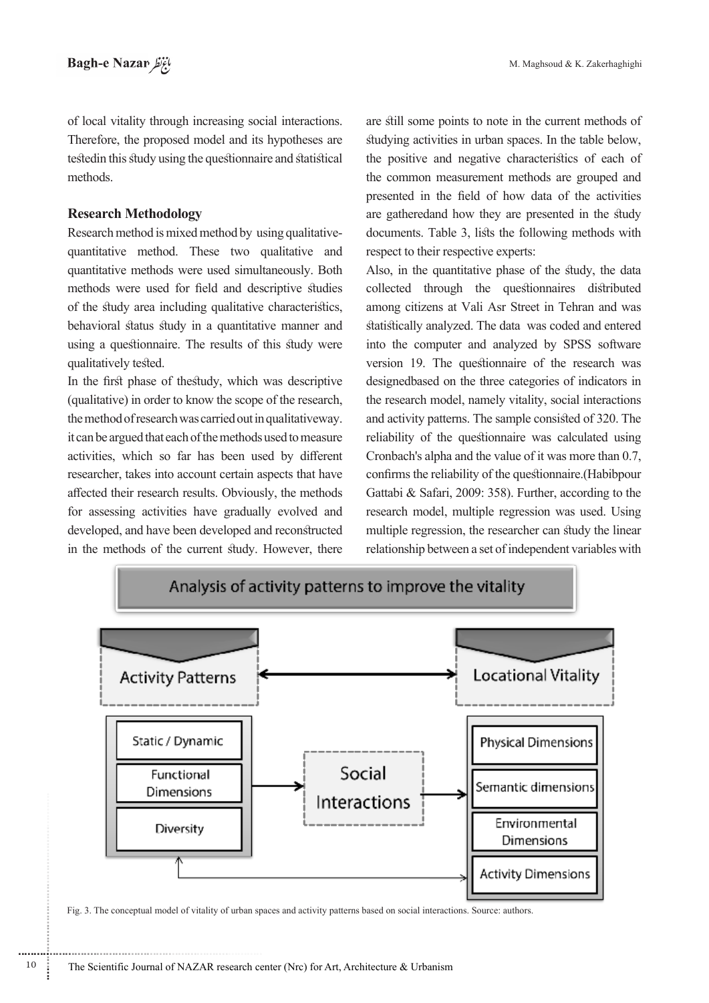of local vitality through increasing social interactions. Therefore, the proposed model and its hypotheses are testedin this study using the questionnaire and statistical methods.

#### **Methodology Research**

............................................................

quantitative method. These two qualitative and Research method is mixed method by using qualitativequantitative methods were used simultaneously. Both methods were used for field and descriptive studies of the study area including qualitative characteristics, behavioral status study in a quantitative manner and using a questionnaire. The results of this study were qualitatively tested.

In the first phase of thestudy, which was descriptive  $\alpha$  (qualitative) in order to know the scope of the research, the method of research was carried out in qualitativeway. it can be argued that each of the methods used to measure activities, which so far has been used by different researcher, takes into account certain aspects that have affected their research results. Obviously, the methods for assessing activities have gradually evolved and developed, and have been developed and reconstructed in the methods of the current study. However, there

are still some points to note in the current methods of studying activities in urban spaces. In the table below, the positive and negative characteristics of each of the common measurement methods are grouped and presented in the field of how data of the activities are gatheredand how they are presented in the study documents. Table 3, lists the following methods with respect to their respective experts:

Also, in the quantitative phase of the study, the data collected through the questionnaires distributed among citizens at Vali Asr Street in Tehran and was statistically analyzed. The data was coded and entered into the computer and analyzed by SPSS software version 19. The questionnaire of the research was designedbased on the three categories of indicators in the research model, namely vitality, social interactions and activity patterns. The sample consisted of 320. The reliability of the questionnaire was calculated using Cronbach's alpha and the value of it was more than 0.7, confirms the reliability of the questionnaire. (Habibpour Gattabi & Safari, 2009: 358). Further, according to the research model, multiple regression was used. Using multiple regression, the researcher can study the linear relationship between a set of independent variables with



Fig. 3. The conceptual model of vitality of urban spaces and activity patterns based on social interactions. Source: authors.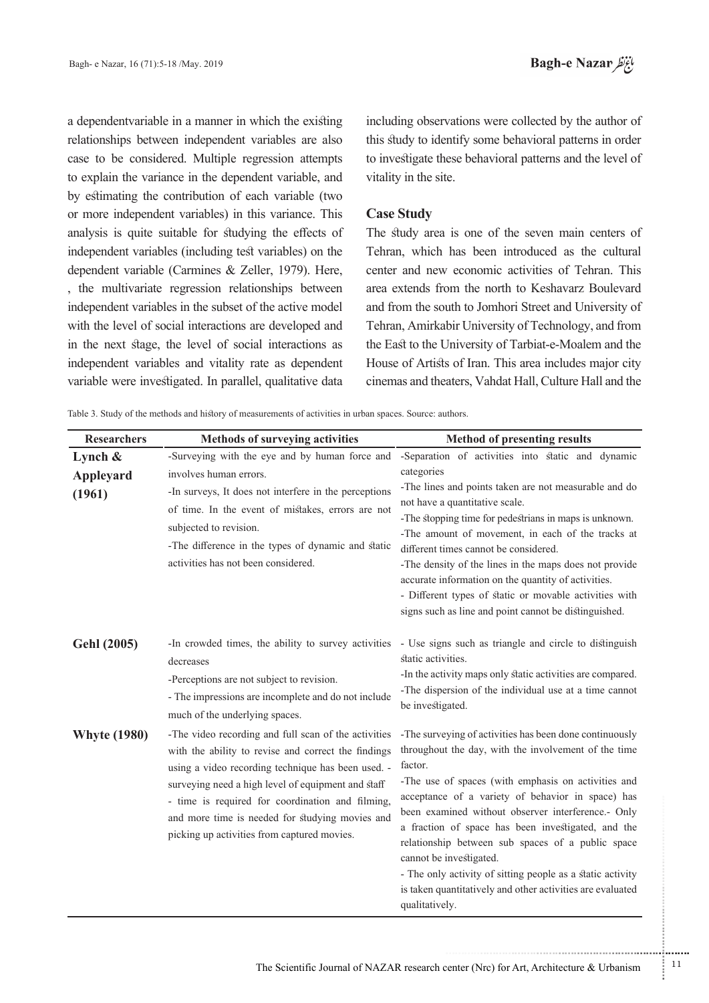a dependentvariable in a manner in which the existing relationships between independent variables are also case to be considered. Multiple regression attempts to explain the variance in the dependent variable, and by estimating the contribution of each variable (two or more independent variables) in this variance. This analysis is quite suitable for studying the effects of independent variables (including test variables) on the dependent variable (Carmines  $&$  Zeller, 1979). Here, , the multivariate regression relationships between independent variables in the subset of the active model with the level of social interactions are developed and in the next stage, the level of social interactions as independent variables and vitality rate as dependent variable were investigated. In parallel, qualitative data

including observations were collected by the author of this study to identify some behavioral patterns in order to investigate these behavioral patterns and the level of vitality in the site.

#### **Case Study**

The study area is one of the seven main centers of Tehran, which has been introduced as the cultural center and new economic activities of Tehran. This area extends from the north to Keshavarz Boulevard and from the south to Jomhori Street and University of Tehran, Amirkabir University of Technology, and from the East to the University of Tarbiat-e-Moalem and the House of Artists of Iran. This area includes major city cinemas and theaters, Vahdat Hall, Culture Hall and the

Table 3. Study of the methods and history of measurements of activities in urban spaces. Source: authors.

| <b>Researchers</b>                | <b>Methods of surveying activities</b>                                                                                                                                                                                                                                                                                                                                        | <b>Method of presenting results</b>                                                                                                                                                                                                                                                                                                                                                                                                                                                                                                                                              |
|-----------------------------------|-------------------------------------------------------------------------------------------------------------------------------------------------------------------------------------------------------------------------------------------------------------------------------------------------------------------------------------------------------------------------------|----------------------------------------------------------------------------------------------------------------------------------------------------------------------------------------------------------------------------------------------------------------------------------------------------------------------------------------------------------------------------------------------------------------------------------------------------------------------------------------------------------------------------------------------------------------------------------|
| Lynch $\&$<br>Appleyard<br>(1961) | -Surveying with the eye and by human force and<br>involves human errors.<br>-In surveys, It does not interfere in the perceptions<br>of time. In the event of mistakes, errors are not<br>subjected to revision.<br>-The difference in the types of dynamic and static<br>activities has not been considered.                                                                 | -Separation of activities into static and dynamic<br>categories<br>-The lines and points taken are not measurable and do<br>not have a quantitative scale.<br>-The stopping time for pedestrians in maps is unknown.<br>-The amount of movement, in each of the tracks at<br>different times cannot be considered.<br>-The density of the lines in the maps does not provide<br>accurate information on the quantity of activities.<br>- Different types of static or movable activities with<br>signs such as line and point cannot be distinguished.                           |
| <b>Gehl (2005)</b>                | -In crowded times, the ability to survey activities<br>decreases<br>-Perceptions are not subject to revision.<br>- The impressions are incomplete and do not include<br>much of the underlying spaces.                                                                                                                                                                        | - Use signs such as triangle and circle to distinguish<br>static activities.<br>-In the activity maps only static activities are compared.<br>-The dispersion of the individual use at a time cannot<br>be investigated.                                                                                                                                                                                                                                                                                                                                                         |
| <b>Whyte (1980)</b>               | -The video recording and full scan of the activities<br>with the ability to revise and correct the findings<br>using a video recording technique has been used. -<br>surveying need a high level of equipment and staff<br>- time is required for coordination and filming,<br>and more time is needed for studying movies and<br>picking up activities from captured movies. | -The surveying of activities has been done continuously<br>throughout the day, with the involvement of the time<br>factor.<br>-The use of spaces (with emphasis on activities and<br>acceptance of a variety of behavior in space) has<br>been examined without observer interference.- Only<br>a fraction of space has been investigated, and the<br>relationship between sub spaces of a public space<br>cannot be investigated.<br>- The only activity of sitting people as a static activity<br>is taken quantitatively and other activities are evaluated<br>qualitatively. |

.......... ....... ........ ........... ...... ....... ........ .......... ...........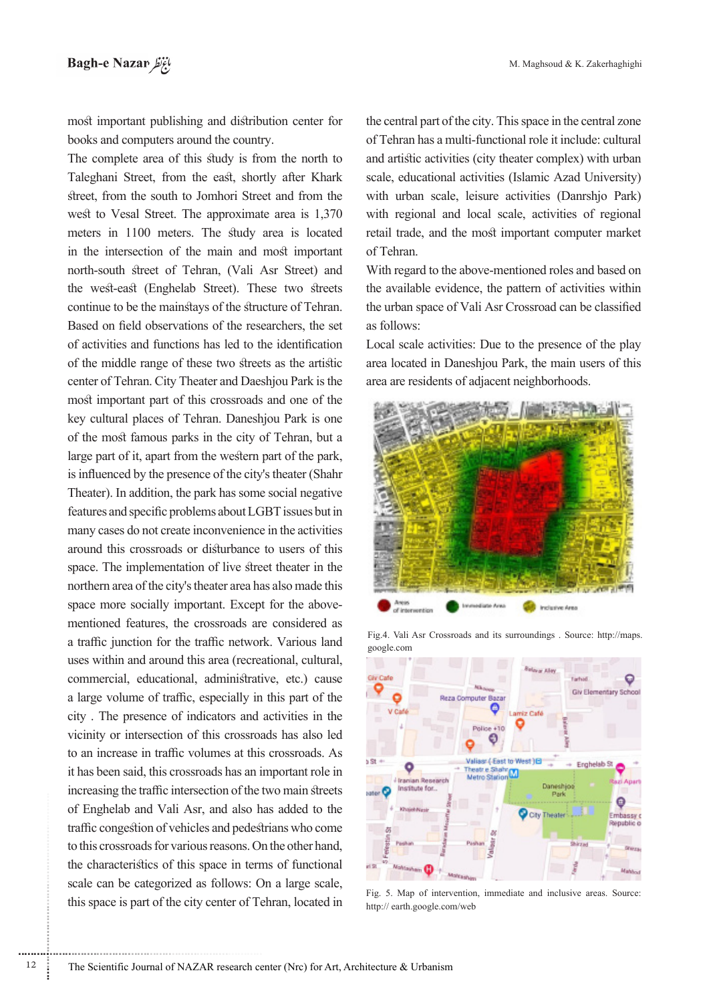most important publishing and distribution center for books and computers around the country.

The complete area of this study is from the north to Taleghani Street, from the east, shortly after Khark street, from the south to Jomhori Street and from the west to Vesal Street. The approximate area is 1,370 meters in 1100 meters. The study area is located in the intersection of the main and most important north-south street of Tehran, (Vali Asr Street) and the west-east (Enghelab Street). These two streets continue to be the mainstays of the structure of Tehran. Based on field observations of the researchers, the set of activities and functions has led to the identification of the middle range of these two streets as the artistic center of Tehran. City Theater and Daeshjou Park is the most important part of this crossroads and one of the key cultural places of Tehran. Daneshjou Park is one of the most famous parks in the city of Tehran, but a large part of it, apart from the western part of the park, is influenced by the presence of the city's theater (Shahr Theater). In addition, the park has some social negative features and specific problems about LGBT issues but in many cases do not create inconvenience in the activities around this crossroads or disturbance to users of this space. The implementation of live street theater in the northern area of the city's theater area has also made this mentioned features, the crossroads are considered as space more socially important. Except for the abovea traffic junction for the traffic network. Various land uses within and around this area (recreational, cultural, commercial, educational, administrative, etc.) cause a large volume of traffic, especially in this part of the city . The presence of indicators and activities in the vicinity or intersection of this crossroads has also led to an increase in traffic volumes at this crossroads. As it has been said, this crossroads has an important role in increasing the traffic intersection of the two main streets of Enghelab and Vali Asr, and also has added to the traffic congestion of vehicles and pedestrians who come to this crossroads for various reasons. On the other hand, the characteristics of this space in terms of functional scale can be categorized as follows: On a large scale, this space is part of the city center of Tehran, located in

the central part of the city. This space in the central zone of Tehran has a multi-functional role it include: cultural and artistic activities (city theater complex) with urban scale, educational activities (Islamic Azad University) with urban scale, leisure activities (Danrshjo Park) with regional and local scale, activities of regional retail trade, and the most important computer market of Tehran.

With regard to the above-mentioned roles and based on the available evidence, the pattern of activities within the urban space of Vali Asr Crossroad can be classified as follows:

Local scale activities: Due to the presence of the play area located in Daneshjou Park, the main users of this area are residents of adjacent neighborhoods.







Fig. 5. Map of intervention, immediate and inclusive areas. Source: http:// earth.google.com/web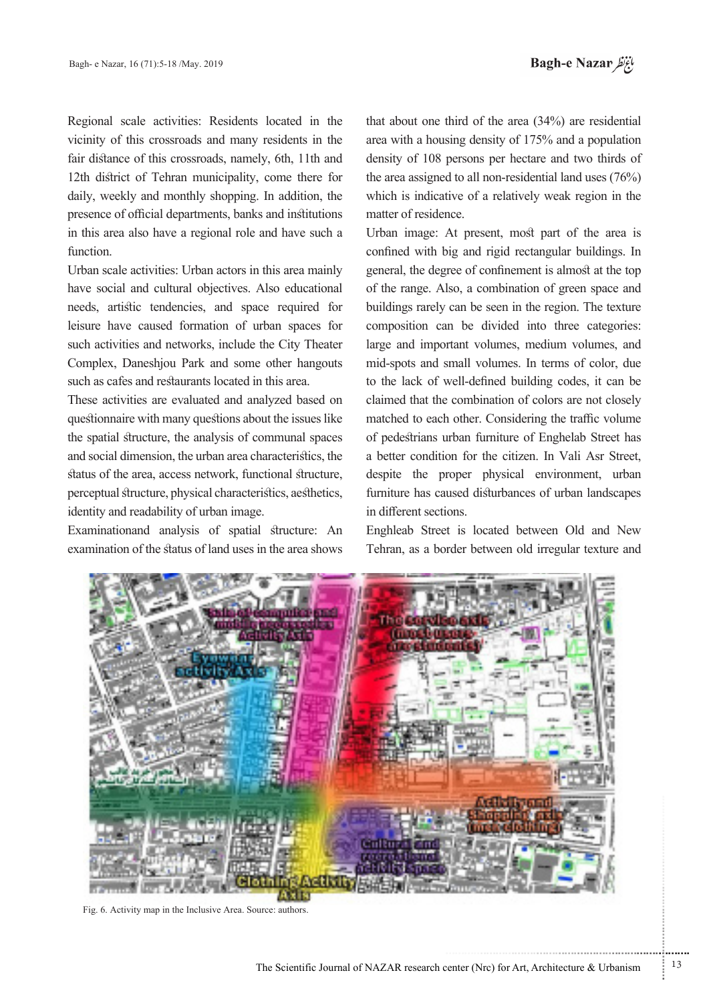Regional scale activities: Residents located in the vicinity of this crossroads and many residents in the fair distance of this crossroads, namely, 6th, 11th and 12th district of Tehran municipality, come there for daily, weekly and monthly shopping. In addition, the presence of official departments, banks and institutions in this area also have a regional role and have such a function.

Urban scale activities: Urban actors in this area mainly have social and cultural objectives. Also educational needs, artistic tendencies, and space required for leisure have caused formation of urban spaces for such activities and networks, include the City Theater Complex, Daneshjou Park and some other hangouts such as cafes and restaurants located in this area.

These activities are evaluated and analyzed based on questionnaire with many questions about the issues like the spatial structure, the analysis of communal spaces and social dimension, the urban area characteristics, the status of the area, access network, functional structure, perceptual structure, physical characteristics, aesthetics, identity and readability of urban image.

Examinationand analysis of spatial structure: An examination of the status of land uses in the area shows

that about one third of the area  $(34%)$  are residential area with a housing density of 175% and a population density of 108 persons per hectare and two thirds of the area assigned to all non-residential land uses  $(76%)$ which is indicative of a relatively weak region in the matter of residence.

Urban image: At present, most part of the area is confined with big and rigid rectangular buildings. In general, the degree of confinement is almost at the top of the range. Also, a combination of green space and buildings rarely can be seen in the region. The texture composition can be divided into three categories: large and important volumes, medium volumes, and mid-spots and small volumes. In terms of color, due to the lack of well-defined building codes, it can be claimed that the combination of colors are not closely matched to each other. Considering the traffic volume of pedestrians urban furniture of Enghelab Street has a better condition for the citizen. In Vali Asr Street, despite the proper physical environment, urban furniture has caused disturbances of urban landscapes in different sections.

Enghleab Street is located between Old and New Tehran, as a border between old irregular texture and



Fig. 6. Activity map in the Inclusive Area. Source: authors.

...........................................................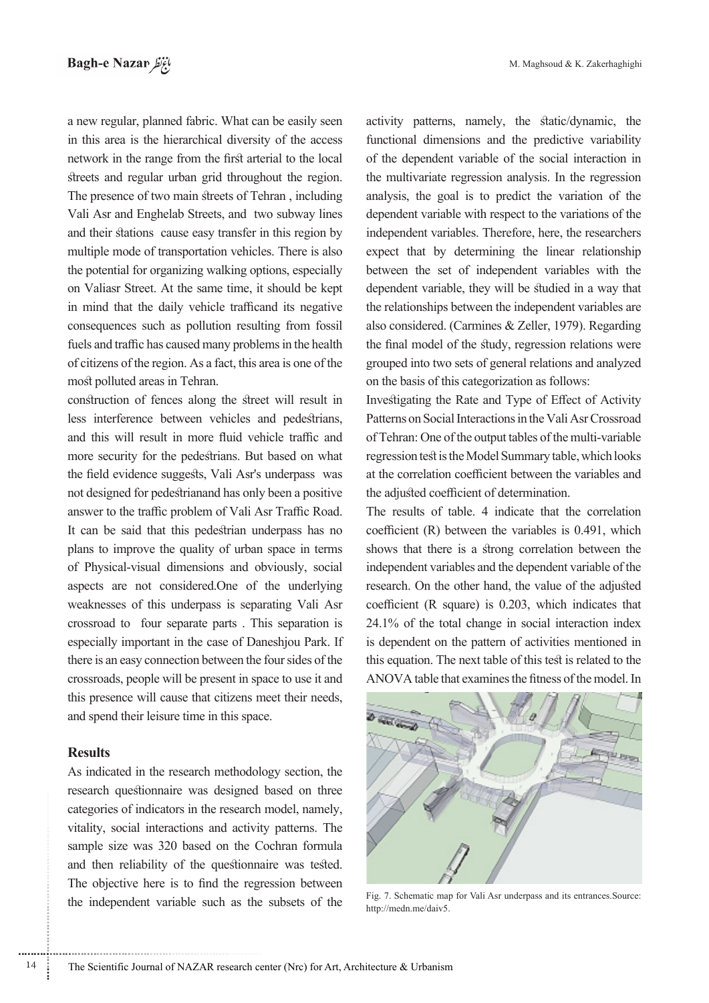a new regular, planned fabric. What can be easily seen in this area is the hierarchical diversity of the access network in the range from the first arterial to the local streets and regular urban grid throughout the region. The presence of two main streets of Tehran, including Vali Asr and Enghelab Streets, and two subway lines and their stations cause easy transfer in this region by multiple mode of transportation vehicles. There is also the potential for organizing walking options, especially on Valiasr Street. At the same time, it should be kept in mind that the daily vehicle trafficand its negative consequences such as pollution resulting from fossil fuels and traffic has caused many problems in the health of citizens of the region. As a fact, this area is one of the most polluted areas in Tehran.

construction of fences along the street will result in less interference between vehicles and pedestrians, and this will result in more fluid vehicle traffic and more security for the pedestrians. But based on what the field evidence suggests, Vali Asr's underpass was not designed for pedestrianand has only been a positive answer to the traffic problem of Vali Asr Traffic Road. It can be said that this pedestrian underpass has no plans to improve the quality of urban space in terms of Physical-visual dimensions and obviously, social aspects are not considered. One of the underlying weaknesses of this underpass is separating Vali Asr crossroad to four separate parts . This separation is especially important in the case of Daneshjou Park. If there is an easy connection between the four sides of the crossroads, people will be present in space to use it and this presence will cause that citizens meet their needs, and spend their leisure time in this space.

### **Results**

As indicated in the research methodology section, the research questionnaire was designed based on three categories of indicators in the research model, namely, vitality, social interactions and activity patterns. The sample size was 320 based on the Cochran formula and then reliability of the questionnaire was tested. The objective here is to find the regression between the independent variable such as the subsets of the activity patterns, namely, the static/dynamic, the functional dimensions and the predictive variability of the dependent variable of the social interaction in the multivariate regression analysis. In the regression analysis, the goal is to predict the variation of the dependent variable with respect to the variations of the independent variables. Therefore, here, the researchers expect that by determining the linear relationship between the set of independent variables with the dependent variable, they will be studied in a way that the relationships between the independent variables are also considered. (Carmines & Zeller, 1979). Regarding the final model of the study, regression relations were grouped into two sets of general relations and analyzed on the basis of this categorization as follows:

Investigating the Rate and Type of Effect of Activity Patterns on Social Interactions in the Vali Asr Crossroad of Tehran: One of the output tables of the multi-variable regression test is the Model Summary table, which looks at the correlation coefficient between the variables and the adjusted coefficient of determination.

The results of table. 4 indicate that the correlation coefficient  $(R)$  between the variables is 0.491, which shows that there is a strong correlation between the independent variables and the dependent variable of the research. On the other hand, the value of the adjusted coefficient (R square) is  $0.203$ , which indicates that  $24.1\%$  of the total change in social interaction index is dependent on the pattern of activities mentioned in this equation. The next table of this test is related to the ANOVA table that examines the fitness of the model. In



Fig. 7. Schematic map for Vali Asr underpass and its entrances Source: http://medn.me/daiv5.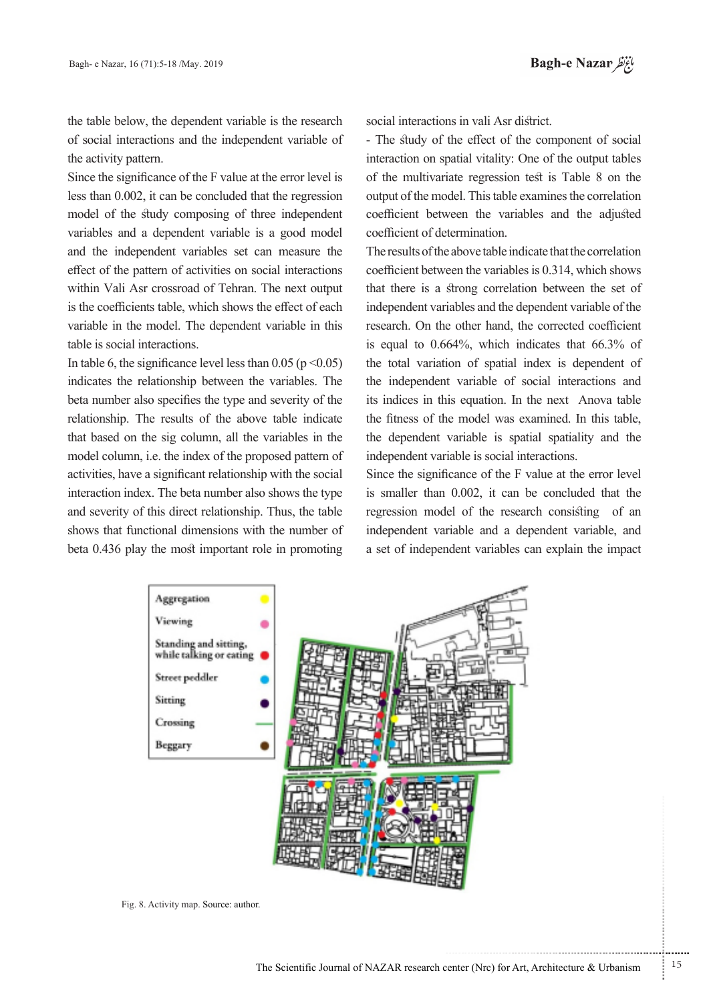the table below, the dependent variable is the research of social interactions and the independent variable of the activity pattern.

Since the significance of the F value at the error level is less than  $0.002$ , it can be concluded that the regression model of the study composing of three independent variables and a dependent variable is a good model and the independent variables set can measure the effect of the pattern of activities on social interactions within Vali Asr crossroad of Tehran. The next output is the coefficients table, which shows the effect of each variable in the model. The dependent variable in this table is social interactions.

In table 6, the significance level less than 0.05 ( $p \le 0.05$ ) indicates the relationship between the variables. The beta number also specifies the type and severity of the relationship. The results of the above table indicate that based on the sig column, all the variables in the model column, i.e. the index of the proposed pattern of activities, have a significant relationship with the social interaction index. The beta number also shows the type and severity of this direct relationship. Thus, the table shows that functional dimensions with the number of beta 0.436 play the most important role in promoting

social interactions in vali Asr district.

- The study of the effect of the component of social interaction on spatial vitality: One of the output tables of the multivariate regression test is Table 8 on the output of the model. This table examines the correlation coefficient between the variables and the adjusted coefficient of determination.

The results of the above table indicate that the correlation coefficient between the variables is  $0.314$ , which shows that there is a strong correlation between the set of independent variables and the dependent variable of the research. On the other hand, the corrected coefficient is equal to  $0.664\%$ , which indicates that  $66.3\%$  of the total variation of spatial index is dependent of the independent variable of social interactions and its indices in this equation. In the next Anova table the fitness of the model was examined. In this table, the dependent variable is spatial spatiality and the independent variable is social interactions.

Since the significance of the F value at the error level is smaller than 0.002, it can be concluded that the regression model of the research consisting of an independent variable and a dependent variable, and a set of independent variables can explain the impact



Fig. 8. Activity map. Source: author.

...........................................................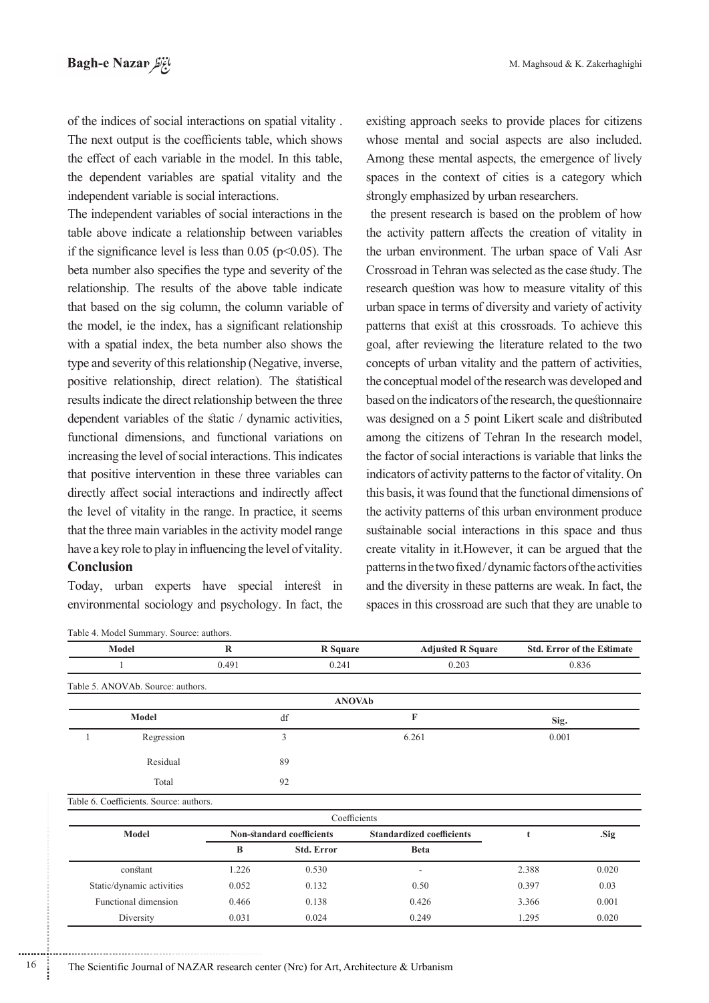of the indices of social interactions on spatial vitality. The next output is the coefficients table, which shows the effect of each variable in the model. In this table, the dependent variables are spatial vitality and the independent variable is social interactions.

The independent variables of social interactions in the table above indicate a relationship between variables if the significance level is less than 0.05 ( $p$ <0.05). The beta number also specifies the type and severity of the relationship. The results of the above table indicate that based on the sig column, the column variable of the model, ie the index, has a significant relationship with a spatial index, the beta number also shows the type and severity of this relationship (Negative, inverse, positive relationship, direct relation). The statistical results indicate the direct relationship between the three dependent variables of the static  $\ell$  dynamic activities, functional dimensions, and functional variations on increasing the level of social interactions. This indicates that positive intervention in these three variables can directly affect social interactions and indirectly affect the level of vitality in the range. In practice, it seems that the three main variables in the activity model range have a key role to play in influencing the level of vitality.

## **Conclusion**

Today, urban experts have special interest in environmental sociology and psychology. In fact, the

Table 4. Model Summary. Source: authors.

existing approach seeks to provide places for citizens whose mental and social aspects are also included. Among these mental aspects, the emergence of lively spaces in the context of cities is a category which strongly emphasized by urban researchers.

the present research is based on the problem of how the activity pattern affects the creation of vitality in the urban environment. The urban space of Vali Asr Crossroad in Tehran was selected as the case study. The research question was how to measure vitality of this urban space in terms of diversity and variety of activity patterns that exist at this crossroads. To achieve this goal, after reviewing the literature related to the two concepts of urban vitality and the pattern of activities, the conceptual model of the research was developed and based on the indicators of the research, the questionnaire was designed on a 5 point Likert scale and distributed among the citizens of Tehran In the research model, the factor of social interactions is variable that links the indicators of activity patterns to the factor of vitality. On this basis, it was found that the functional dimensions of the activity patterns of this urban environment produce sustainable social interactions in this space and thus create vitality in it.However, it can be argued that the patterns in the two fixed/dynamic factors of the activities and the diversity in these patterns are weak. In fact, the spaces in this crossroad are such that they are unable to

|              | $\mathbb{R}$<br>Model                   |       | <b>R</b> Square           | <b>Adjusted R Square</b>         |       | <b>Std. Error of the Estimate</b> |  |
|--------------|-----------------------------------------|-------|---------------------------|----------------------------------|-------|-----------------------------------|--|
|              |                                         | 0.491 | 0.241                     | 0.203                            |       | 0.836                             |  |
|              | Table 5. ANOVAb. Source: authors.       |       |                           |                                  |       |                                   |  |
|              |                                         |       |                           | <b>ANOVAb</b>                    |       |                                   |  |
|              | Model                                   |       | df                        | F                                | Sig.  |                                   |  |
| Regression   |                                         |       | 3                         | 6.261                            |       | 0.001                             |  |
|              | Residual                                |       | 89                        |                                  |       |                                   |  |
|              | Total                                   |       | 92                        |                                  |       |                                   |  |
|              | Table 6. Coefficients. Source: authors. |       |                           |                                  |       |                                   |  |
|              |                                         |       |                           | Coefficients                     |       |                                   |  |
| <b>Model</b> |                                         |       | Non-standard coefficients | <b>Standardized coefficients</b> | t     | .Sig                              |  |
|              |                                         | B     | <b>Std. Error</b>         | <b>Beta</b>                      |       |                                   |  |
|              | constant                                | 1.226 | 0.530                     | ۰                                | 2.388 | 0.020                             |  |
|              | Static/dynamic activities               | 0.052 | 0.132                     | 0.50                             | 0.397 | 0.03                              |  |
|              | Functional dimension                    | 0.466 | 0.138                     | 0.426                            | 3.366 | 0.001                             |  |
|              | Diversity                               | 0.031 | 0.024                     | 0.249                            | 1.295 | 0.020                             |  |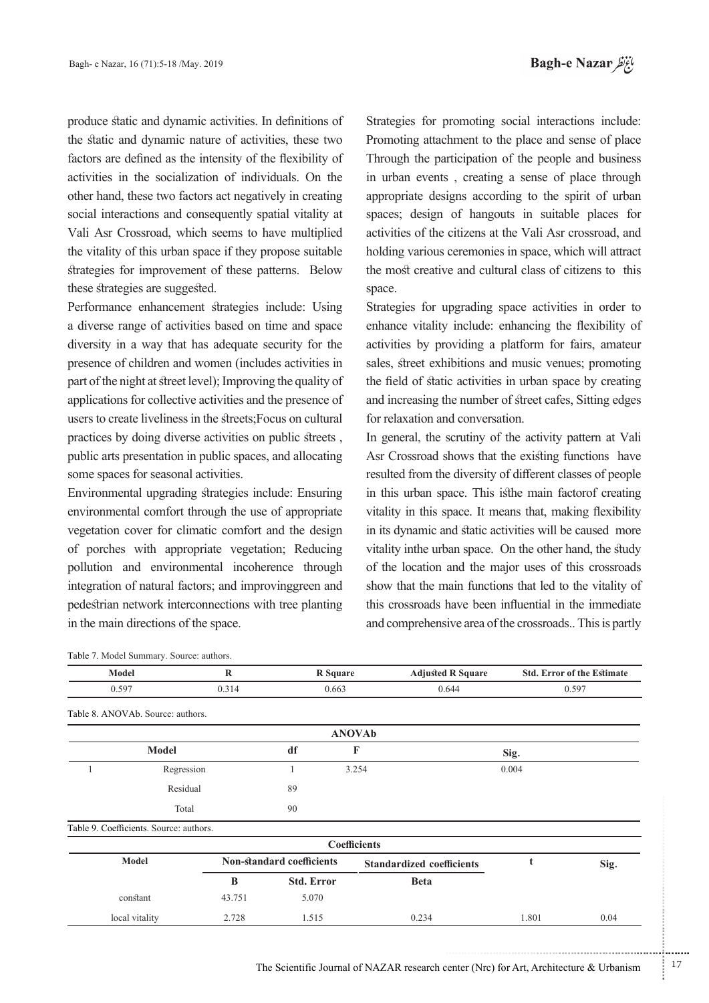produce static and dynamic activities. In definitions of the static and dynamic nature of activities, these two factors are defined as the intensity of the flexibility of activities in the socialization of individuals. On the other hand, these two factors act negatively in creating social interactions and consequently spatial vitality at Vali Asr Crossroad, which seems to have multiplied the vitality of this urban space if they propose suitable strategies for improvement of these patterns. Below these strategies are suggested.

Performance enhancement strategies include: Using a diverse range of activities based on time and space diversity in a way that has adequate security for the presence of children and women (includes activities in part of the night at street level); Improving the quality of applications for collective activities and the presence of users to create liveliness in the streets; Focus on cultural practices by doing diverse activities on public streets. public arts presentation in public spaces, and allocating some spaces for seasonal activities.

Environmental upgrading strategies include: Ensuring environmental comfort through the use of appropriate vegetation cover for climatic comfort and the design of porches with appropriate vegetation; Reducing pollution and environmental incoherence through integration of natural factors; and improvinggreen and pedestrian network interconnections with tree planting in the main directions of the space.

Strategies for promoting social interactions include: Promoting attachment to the place and sense of place Through the participation of the people and business in urban events, creating a sense of place through appropriate designs according to the spirit of urban spaces; design of hangouts in suitable places for activities of the citizens at the Vali Asr crossroad, and holding various ceremonies in space, which will attract the most creative and cultural class of citizens to this space.

Strategies for upgrading space activities in order to enhance vitality include: enhancing the flexibility of activities by providing a platform for fairs, amateur sales, street exhibitions and music venues; promoting the field of static activities in urban space by creating and increasing the number of street cafes, Sitting edges for relaxation and conversation.

In general, the scrutiny of the activity pattern at Vali Asr Crossroad shows that the existing functions have resulted from the diversity of different classes of people in this urban space. This is the main factor of creating vitality in this space. It means that, making flexibility in its dynamic and static activities will be caused more vitality inthe urban space. On the other hand, the study of the location and the major uses of this crossroads show that the main functions that led to the vitality of this crossroads have been influential in the immediate and comprehensive area of the crossroads.. This is partly

| Model                                   |              | $\bf{R}$ | <b>R</b> Square                  |                     | <b>Adjusted R Square</b>         |       | <b>Std. Error of the Estimate</b> |  |
|-----------------------------------------|--------------|----------|----------------------------------|---------------------|----------------------------------|-------|-----------------------------------|--|
| 0.597                                   |              | 0.314    | 0.663<br>0.644                   |                     |                                  | 0.597 |                                   |  |
| Table 8. ANOVAb. Source: authors.       |              |          |                                  |                     |                                  |       |                                   |  |
|                                         |              |          |                                  | <b>ANOVAb</b>       |                                  |       |                                   |  |
|                                         | <b>Model</b> |          | df                               | F                   |                                  | Sig.  |                                   |  |
|                                         | Regression   |          |                                  | 3.254               |                                  | 0.004 |                                   |  |
|                                         | Residual     |          | 89                               |                     |                                  |       |                                   |  |
|                                         | Total        |          | 90                               |                     |                                  |       |                                   |  |
| Table 9. Coefficients. Source: authors. |              |          |                                  |                     |                                  |       |                                   |  |
|                                         |              |          |                                  | <b>Coefficients</b> |                                  |       |                                   |  |
| <b>Model</b>                            |              |          | <b>Non-standard coefficients</b> |                     | <b>Standardized coefficients</b> | t     | Sig.                              |  |
|                                         |              | B        | <b>Std. Error</b>                |                     | <b>Beta</b>                      |       |                                   |  |
| constant                                |              | 43.751   | 5.070                            |                     |                                  |       |                                   |  |
|                                         |              |          |                                  |                     |                                  |       |                                   |  |

local vitality 2.728 1.515 0.234 1.801 0.04

Table 7. Model Summary. Source: authors.

The Scientific Journal of NAZAR research center (Nrc) for Art, Architecture & Urbanism  $17$ 

...........................................................